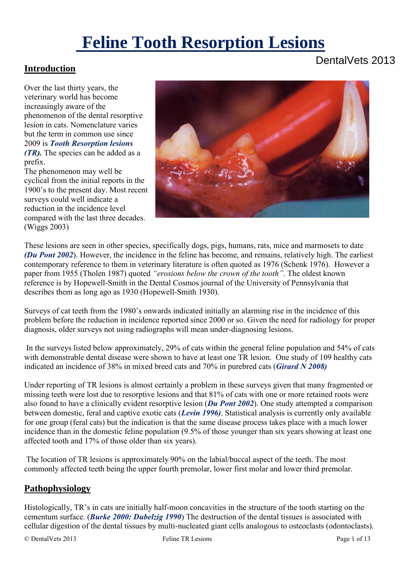# **Feline Tooth Resorption Lesions**

### **Introduction**

Over the last thirty years, the veterinary world has become increasingly aware of the phenomenon of the dental resorptive lesion in cats. Nomenclature varies but the term in common use since 2009 is *Tooth Resorption lesions* 

*(TR).* The species can be added as a prefix.

The phenomenon may well be cyclical from the initial reports in the 1900's to the present day. Most recent surveys could well indicate a reduction in the incidence level compared with the last three decades. (Wiggs 2003)

These lesions are seen in other species, specifically dogs, pigs, humans, rats, mice and marmosets to date *(Du Pont 2002*). However, the incidence in the feline has become, and remains, relatively high. The earliest contemporary reference to them in veterinary literature is often quoted as 1976 (Schenk 1976). However a paper from 1955 (Tholen 1987) quoted *"erosions below the crown of the tooth"*. The oldest known reference is by Hopewell-Smith in the Dental Cosmos journal of the University of Pennsylvania that describes them as long ago as 1930 (Hopewell-Smith 1930).

Surveys of cat teeth from the 1980's onwards indicated initially an alarming rise in the incidence of this problem before the reduction in incidence reported since 2000 or so. Given the need for radiology for proper diagnosis, older surveys not using radiographs will mean under-diagnosing lesions.

 In the surveys listed below approximately, 29% of cats within the general feline population and 54% of cats with demonstrable dental disease were shown to have at least one TR lesion. One study of 109 healthy cats indicated an incidence of 38% in mixed breed cats and 70% in purebred cats (*Girard N 2008)*

Under reporting of TR lesions is almost certainly a problem in these surveys given that many fragmented or missing teeth were lost due to resorptive lesions and that 81% of cats with one or more retained roots were also found to have a clinically evident resorptive lesion (*Du Pont 2002*). One study attempted a comparison between domestic, feral and captive exotic cats (*Levin 1996)*. Statistical analysis is currently only available for one group (feral cats) but the indication is that the same disease process takes place with a much lower incidence than in the domestic feline population (9.5% of those younger than six years showing at least one affected tooth and 17% of those older than six years).

The location of TR lesions is approximately 90% on the labial/buccal aspect of the teeth. The most commonly affected teeth being the upper fourth premolar, lower first molar and lower third premolar.

#### **Pathophysiology**

Histologically, TR's in cats are initially half-moon concavities in the structure of the tooth starting on the cementum surface. (*Burke 2000: Dubelzig 1990*) The destruction of the dental tissues is associated with cellular digestion of the dental tissues by multi-nucleated giant cells analogous to osteoclasts (odontoclasts).

## DentalVets 2013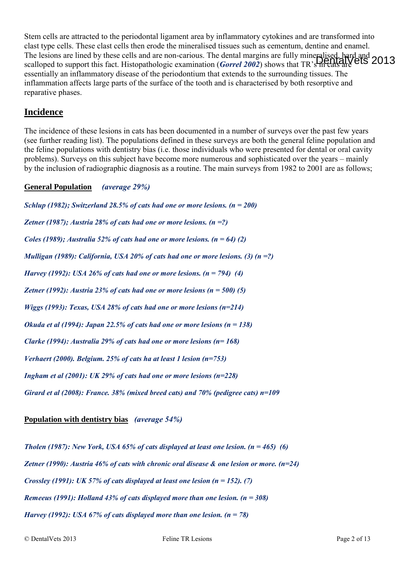Stem cells are attracted to the periodontal ligament area by inflammatory cytokines and are transformed into clast type cells. These clast cells then erode the mineralised tissues such as cementum, dentine and enamel. The lesions are lined by these cells and are non-carious. The dental margins are fully mineralised, hard and scalloped to support this fact. Histopathologic examination (*Gorrel 2002*) shows that TR's in cats are **CO13** essentially an inflammatory disease of the periodontium that extends to the surrounding tissues. The inflammation affects large parts of the surface of the tooth and is characterised by both resorptive and reparative phases.

#### **Incidence**

The incidence of these lesions in cats has been documented in a number of surveys over the past few years (see further reading list). The populations defined in these surveys are both the general feline population and the feline populations with dentistry bias (i.e. those individuals who were presented for dental or oral cavity problems). Surveys on this subject have become more numerous and sophisticated over the years – mainly by the inclusion of radiographic diagnosis as a routine. The main surveys from 1982 to 2001 are as follows;

#### **General Population** *(average 29%)*

*Schlup (1982); Switzerland 28.5% of cats had one or more lesions. (n = 200) Zetner (1987); Austria 28% of cats had one or more lesions. (n =?) Coles (1989); Australia 52% of cats had one or more lesions. (n = 64) (2) Mulligan (1989): California, USA 20% of cats had one or more lesions. (3) (n =?) Harvey (1992): USA 26% of cats had one or more lesions. (n = 794) (4) Zetner (1992): Austria 23% of cats had one or more lesions (n = 500) (5) Wiggs (1993): Texas, USA 28% of cats had one or more lesions (n=214) Okuda et al (1994): Japan 22.5% of cats had one or more lesions (n = 138) Clarke (1994): Australia 29% of cats had one or more lesions (n= 168) Verhaert (2000). Belgium. 25% of cats ha at least 1 lesion (n=753) Ingham et al (2001): UK 29% of cats had one or more lesions (n=228) Girard et al (2008): France. 38% (mixed breed cats) and 70% (pedigree cats) n=109* 

#### **Population with dentistry bias** *(average 54%)*

*Tholen (1987): New York, USA 65% of cats displayed at least one lesion. (n = 465) (6) Zetner (1990): Austria 46% of cats with chronic oral disease & one lesion or more. (n=24) Crossley (1991): UK 57% of cats displayed at least one lesion (n = 152). (7) Remeeus (1991): Holland 43% of cats displayed more than one lesion. (n = 308) Harvey (1992): USA 67% of cats displayed more than one lesion. (n = 78)*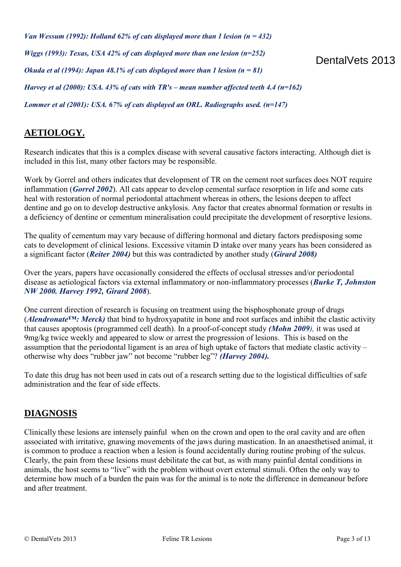*Van Wessum (1992): Holland 62% of cats displayed more than 1 lesion (n = 432) Wiggs (1993): Texas, USA 42% of cats displayed more than one lesion (n=252) Okuda et al (1994): Japan 48.1% of cats displayed more than 1 lesion (n = 81) Harvey et al (2000): USA. 43% of cats with TR's – mean number affected teeth 4.4 (n=162) Lommer et al (2001): USA. 67% of cats displayed an ORL. Radiographs used. (n=147)* 

### **AETIOLOGY.**

Research indicates that this is a complex disease with several causative factors interacting. Although diet is included in this list, many other factors may be responsible.

Work by Gorrel and others indicates that development of TR on the cement root surfaces does NOT require inflammation (*Gorrel 2002*). All cats appear to develop cemental surface resorption in life and some cats heal with restoration of normal periodontal attachment whereas in others, the lesions deepen to affect dentine and go on to develop destructive ankylosis. Any factor that creates abnormal formation or results in a deficiency of dentine or cementum mineralisation could precipitate the development of resorptive lesions.

The quality of cementum may vary because of differing hormonal and dietary factors predisposing some cats to development of clinical lesions. Excessive vitamin D intake over many years has been considered as a significant factor (*Reiter 2004)* but this was contradicted by another study (*Girard 2008)* 

Over the years, papers have occasionally considered the effects of occlusal stresses and/or periodontal disease as aetiological factors via external inflammatory or non-inflammatory processes (*Burke T, Johnston NW 2000. Harvey 1992, Girard 2008*).

One current direction of research is focusing on treatment using the bisphosphonate group of drugs (*Alendronate™: Merck)* that bind to hydroxyapatite in bone and root surfaces and inhibit the clastic activity that causes apoptosis (programmed cell death). In a proof-of-concept study *(Mohn 2009),* it was used at 9mg/kg twice weekly and appeared to slow or arrest the progression of lesions. This is based on the assumption that the periodontal ligament is an area of high uptake of factors that mediate clastic activity – otherwise why does "rubber jaw" not become "rubber leg"? *(Harvey 2004).*

To date this drug has not been used in cats out of a research setting due to the logistical difficulties of safe administration and the fear of side effects.

#### **DIAGNOSIS**

Clinically these lesions are intensely painful when on the crown and open to the oral cavity and are often associated with irritative, gnawing movements of the jaws during mastication. In an anaesthetised animal, it is common to produce a reaction when a lesion is found accidentally during routine probing of the sulcus. Clearly, the pain from these lesions must debilitate the cat but, as with many painful dental conditions in animals, the host seems to "live" with the problem without overt external stimuli. Often the only way to determine how much of a burden the pain was for the animal is to note the difference in demeanour before and after treatment.

DentalVets 2013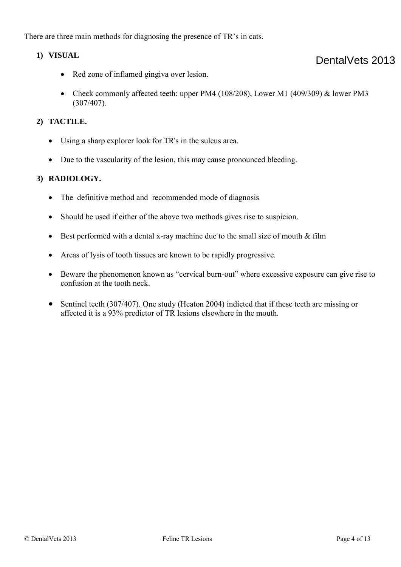There are three main methods for diagnosing the presence of TR's in cats.

#### **1) VISUAL**

- Red zone of inflamed gingiva over lesion.
- Check commonly affected teeth: upper PM4 (108/208), Lower M1 (409/309) & lower PM3 (307/407).

#### **2) TACTILE.**

- Using a sharp explorer look for TR's in the sulcus area.
- Due to the vascularity of the lesion, this may cause pronounced bleeding.

#### **3) RADIOLOGY.**

- The definitive method and recommended mode of diagnosis
- Should be used if either of the above two methods gives rise to suspicion.
- Best performed with a dental x-ray machine due to the small size of mouth  $&$  film
- Areas of lysis of tooth tissues are known to be rapidly progressive.
- Beware the phenomenon known as "cervical burn-out" where excessive exposure can give rise to confusion at the tooth neck.
- Sentinel teeth (307/407). One study (Heaton 2004) indicted that if these teeth are missing or affected it is a 93% predictor of TR lesions elsewhere in the mouth.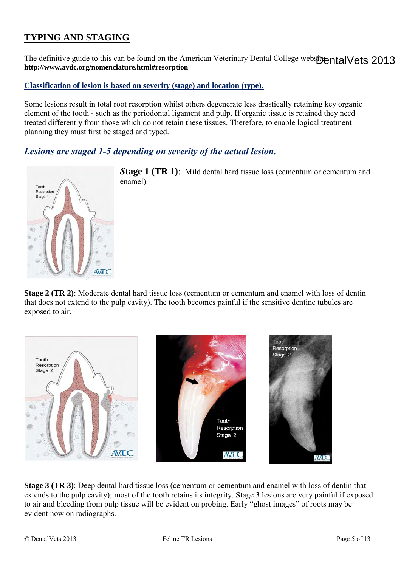## **TYPING AND STAGING**

The definitive guide to this can be found on the American Veterinary Dental College website ental Vets 2013 **http://www.avdc.org/nomenclature.html#resorption** 

#### **Classification of lesion is based on severity (stage) and location (type).**

Some lesions result in total root resorption whilst others degenerate less drastically retaining key organic element of the tooth - such as the periodontal ligament and pulp. If organic tissue is retained they need treated differently from those which do not retain these tissues. Therefore, to enable logical treatment planning they must first be staged and typed.

*Lesions are staged 1-5 depending on severity of the actual lesion.* 



*S***tage 1 (TR 1)**: Mild dental hard tissue loss (cementum or cementum and enamel).

**Stage 2 (TR 2)**: Moderate dental hard tissue loss (cementum or cementum and enamel with loss of dentin that does not extend to the pulp cavity). The tooth becomes painful if the sensitive dentine tubules are exposed to air.



**Stage 3 (TR 3)**: Deep dental hard tissue loss (cementum or cementum and enamel with loss of dentin that extends to the pulp cavity); most of the tooth retains its integrity. Stage 3 lesions are very painful if exposed to air and bleeding from pulp tissue will be evident on probing. Early "ghost images" of roots may be evident now on radiographs.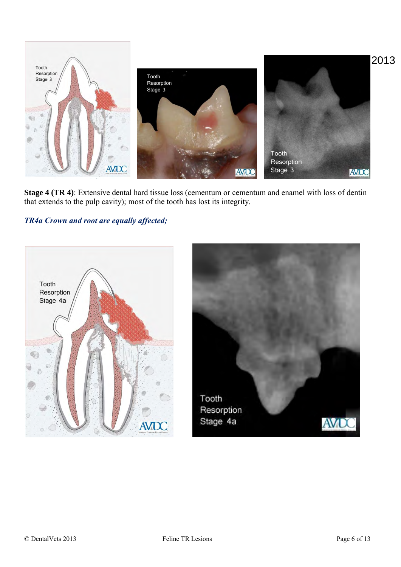

**Stage 4 (TR 4)**: Extensive dental hard tissue loss (cementum or cementum and enamel with loss of dentin that extends to the pulp cavity); most of the tooth has lost its integrity.

#### *TR4a Crown and root are equally affected;*

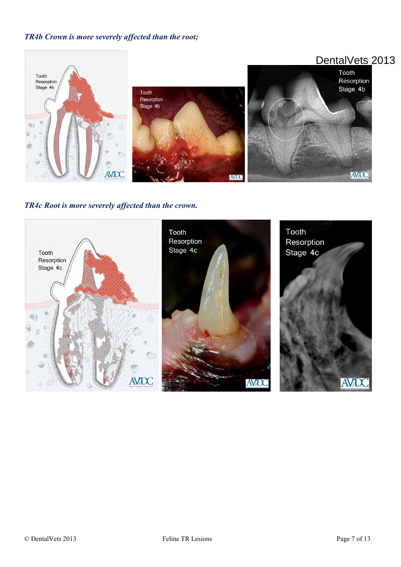#### *TR4b Crown is more severely affected than the root;*



*TR4c Root is more severely affected than the crown.* 

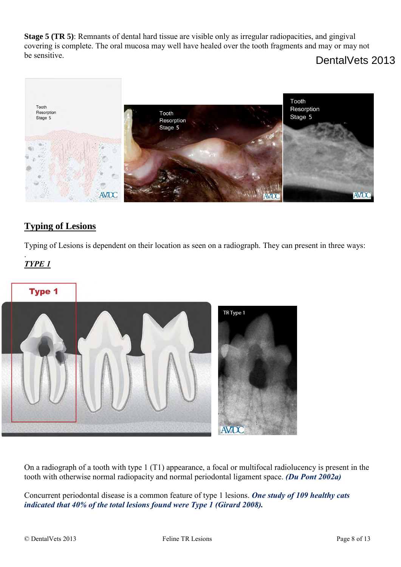**Stage 5 (TR 5)**: Remnants of dental hard tissue are visible only as irregular radiopacities, and gingival covering is complete. The oral mucosa may well have healed over the tooth fragments and may or may not be sensitive.

## DentalVets 2013



## **Typing of Lesions**

Typing of Lesions is dependent on their location as seen on a radiograph. They can present in three ways:

#### . *TYPE 1*





On a radiograph of a tooth with type 1 (T1) appearance, a focal or multifocal radiolucency is present in the tooth with otherwise normal radiopacity and normal periodontal ligament space. *(Du Pont 2002a)* 

Concurrent periodontal disease is a common feature of type 1 lesions. *One study of 109 healthy cats indicated that 40% of the total lesions found were Type 1 (Girard 2008).*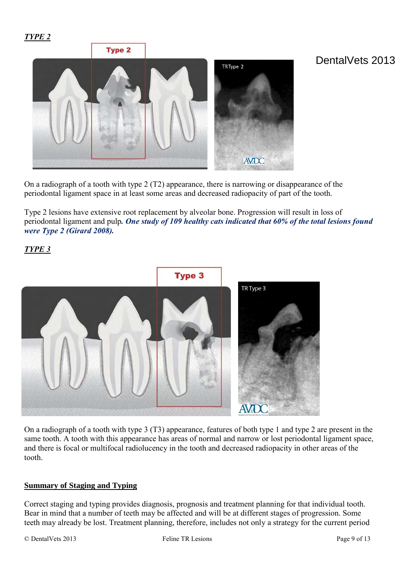*TYPE 2*



## On a radiograph of a tooth with type 2 (T2) appearance, there is narrowing or disappearance of the periodontal ligament space in at least some areas and decreased radiopacity of part of the tooth.

Type 2 lesions have extensive root replacement by alveolar bone. Progression will result in loss of periodontal ligament and pulp*. One study of 109 healthy cats indicated that 60% of the total lesions found were Type 2 (Girard 2008).*

#### *TYPE 3*



On a radiograph of a tooth with type 3 (T3) appearance, features of both type 1 and type 2 are present in the same tooth. A tooth with this appearance has areas of normal and narrow or lost periodontal ligament space, and there is focal or multifocal radiolucency in the tooth and decreased radiopacity in other areas of the tooth.

#### **Summary of Staging and Typing**

Correct staging and typing provides diagnosis, prognosis and treatment planning for that individual tooth. Bear in mind that a number of teeth may be affected and will be at different stages of progression. Some teeth may already be lost. Treatment planning, therefore, includes not only a strategy for the current period

DentalVets 2013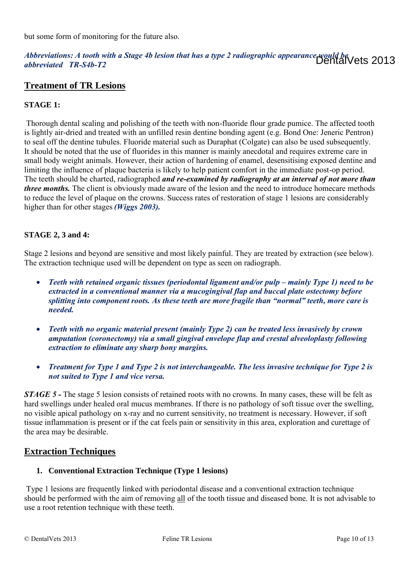but some form of monitoring for the future also.

#### *Abbreviations: A tooth with a Stage 4b lesion that has a type 2 radiographic appearance would be*  DentalVets 2013*abbreviated TR-S4b-T2*

#### **Treatment of TR Lesions**

#### **STAGE 1:**

Thorough dental scaling and polishing of the teeth with non-fluoride flour grade pumice. The affected tooth is lightly air-dried and treated with an unfilled resin dentine bonding agent (e.g. Bond One: Jeneric Pentron) to seal off the dentine tubules. Fluoride material such as Duraphat (Colgate) can also be used subsequently. It should be noted that the use of fluorides in this manner is mainly anecdotal and requires extreme care in small body weight animals. However, their action of hardening of enamel, desensitising exposed dentine and limiting the influence of plaque bacteria is likely to help patient comfort in the immediate post-op period. The teeth should be charted, radiographed *and re-examined by radiography at an interval of not more than three months*. The client is obviously made aware of the lesion and the need to introduce homecare methods to reduce the level of plaque on the crowns. Success rates of restoration of stage 1 lesions are considerably higher than for other stages *(Wiggs 2003).*

#### **STAGE 2, 3 and 4:**

Stage 2 lesions and beyond are sensitive and most likely painful. They are treated by extraction (see below). The extraction technique used will be dependent on type as seen on radiograph.

- *Teeth with retained organic tissues (periodontal ligament and/or pulp mainly Type 1) need to be extracted in a conventional manner via a mucogingival flap and buccal plate ostectomy before splitting into component roots. As these teeth are more fragile than "normal" teeth, more care is needed.*
- *Teeth with no organic material present (mainly Type 2) can be treated less invasively by crown amputation (coronectomy) via a small gingival envelope flap and crestal alveoloplasty following extraction to eliminate any sharp bony margins.*
- *Treatment for Type 1 and Type 2 is not interchangeable. The less invasive technique for Type 2 is not suited to Type 1 and vice versa.*

*STAGE 5 -* The stage 5 lesion consists of retained roots with no crowns. In many cases, these will be felt as hard swellings under healed oral mucus membranes. If there is no pathology of soft tissue over the swelling, no visible apical pathology on x-ray and no current sensitivity, no treatment is necessary. However, if soft tissue inflammation is present or if the cat feels pain or sensitivity in this area, exploration and curettage of the area may be desirable.

#### **Extraction Techniques**

#### **1. Conventional Extraction Technique (Type 1 lesions)**

Type 1 lesions are frequently linked with periodontal disease and a conventional extraction technique should be performed with the aim of removing all of the tooth tissue and diseased bone. It is not advisable to use a root retention technique with these teeth.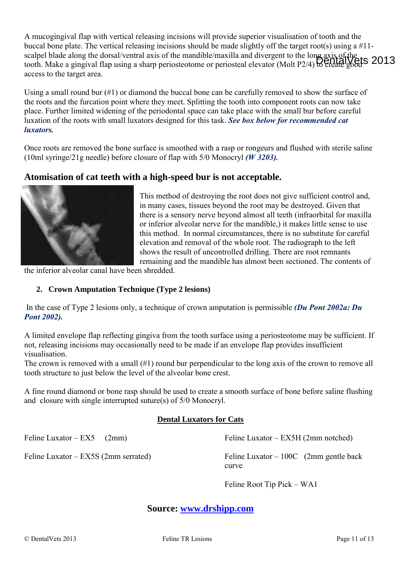A mucogingival flap with vertical releasing incisions will provide superior visualisation of tooth and the buccal bone plate. The vertical releasing incisions should be made slightly off the target root(s) using a #11 scalpel blade along the dorsal/ventral axis of the mandible/maxilla and divergent to the long axis of the scarper orace along the dorsal venture axis of the mandrote maxima and divergent to the form periodic 1964 S 2013 access to the target area.

Using a small round bur (#1) or diamond the buccal bone can be carefully removed to show the surface of the roots and the furcation point where they meet. Splitting the tooth into component roots can now take place. Further limited widening of the periodontal space can take place with the small bur before careful luxation of the roots with small luxators designed for this task. *See box below for recommended cat luxators.* 

Once roots are removed the bone surface is smoothed with a rasp or rongeurs and flushed with sterile saline (10ml syringe/21g needle) before closure of flap with 5/0 Monocryl *(W 3203).*

#### **Atomisation of cat teeth with a high-speed bur is not acceptable.**



This method of destroying the root does not give sufficient control and, in many cases, tissues beyond the root may be destroyed. Given that there is a sensory nerve beyond almost all teeth (infraorbital for maxilla or inferior alveolar nerve for the mandible,) it makes little sense to use this method. In normal circumstances, there is no substitute for careful elevation and removal of the whole root. The radiograph to the left shows the result of uncontrolled drilling. There are root remnants remaining and the mandible has almost been sectioned. The contents of

the inferior alveolar canal have been shredded.

#### **2. Crown Amputation Technique (Type 2 lesions)**

 In the case of Type 2 lesions only, a technique of crown amputation is permissible *(Du Pont 2002a: Du Pont 2002).*

A limited envelope flap reflecting gingiva from the tooth surface using a periosteotome may be sufficient. If not, releasing incisions may occasionally need to be made if an envelope flap provides insufficient visualisation.

The crown is removed with a small (#1) round bur perpendicular to the long axis of the crown to remove all tooth structure to just below the level of the alveolar bone crest.

A fine round diamond or bone rasp should be used to create a smooth surface of bone before saline flushing and closure with single interrupted suture(s) of 5/0 Monocryl.

#### **Dental Luxators for Cats**

Feline Luxator –  $EX5$  (2mm) Feline Luxator – EX5S (2mm serrated) Feline Luxator – EX5H (2mm notched) Feline Luxator – 100C (2mm gentle back curve

Feline Root Tip Pick – WA1

**Source: [www.drshipp.com](http://www.drshipp.com/)**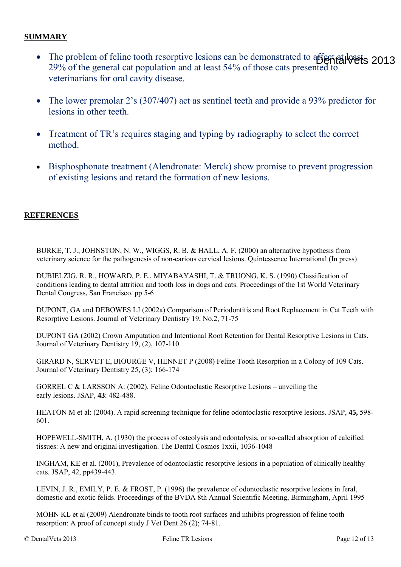#### **SUMMARY**

- The problem of feline tooth resorptive lesions can be demonstrated to affect at least 2013 29% of the general cat population and at least 54% of those cats presented to veterinarians for oral cavity disease.
- The lower premolar 2's (307/407) act as sentinel teeth and provide a 93% predictor for lesions in other teeth.
- Treatment of TR's requires staging and typing by radiography to select the correct method.
- Bisphosphonate treatment (Alendronate: Merck) show promise to prevent progression of existing lesions and retard the formation of new lesions.

#### **REFERENCES**

BURKE, T. J., JOHNSTON, N. W., WIGGS, R. B. & HALL, A. F. (2000) an alternative hypothesis from veterinary science for the pathogenesis of non-carious cervical lesions. Quintessence International (In press)

DUBIELZIG, R. R., HOWARD, P. E., MIYABAYASHI, T. & TRUONG, K. S. (1990) Classification of conditions leading to dental attrition and tooth loss in dogs and cats. Proceedings of the 1st World Veterinary Dental Congress, San Francisco. pp 5-6

DUPONT, GA and DEBOWES LJ (2002a) Comparison of Periodontitis and Root Replacement in Cat Teeth with Resorptive Lesions. Journal of Veterinary Dentistry 19, No.2, 71-75

DUPONT GA (2002) Crown Amputation and Intentional Root Retention for Dental Resorptive Lesions in Cats. Journal of Veterinary Dentistry 19, (2), 107-110

GIRARD N, SERVET E, BIOURGE V, HENNET P (2008) Feline Tooth Resorption in a Colony of 109 Cats. Journal of Veterinary Dentistry 25, (3); 166-174

GORREL C & LARSSON A: (2002). Feline Odontoclastic Resorptive Lesions – unveiling the early lesions. JSAP, **43**: 482-488.

HEATON M et al: (2004). A rapid screening technique for feline odontoclastic resorptive lesions. JSAP, **45,** 598- 601.

HOPEWELL-SMITH, A. (1930) the process of osteolysis and odontolysis, or so-called absorption of calcified tissues: A new and original investigation. The Dental Cosmos 1xxii, 1036-1048

INGHAM, KE et al. (2001), Prevalence of odontoclastic resorptive lesions in a population of clinically healthy cats. JSAP, 42, pp439-443.

LEVIN, J. R., EMILY, P. E. & FROST, P. (1996) the prevalence of odontoclastic resorptive lesions in feral, domestic and exotic felids. Proceedings of the BVDA 8th Annual Scientific Meeting, Birmingham, April 1995

MOHN KL et al (2009) Alendronate binds to tooth root surfaces and inhibits progression of feline tooth resorption: A proof of concept study J Vet Dent 26 (2); 74-81.